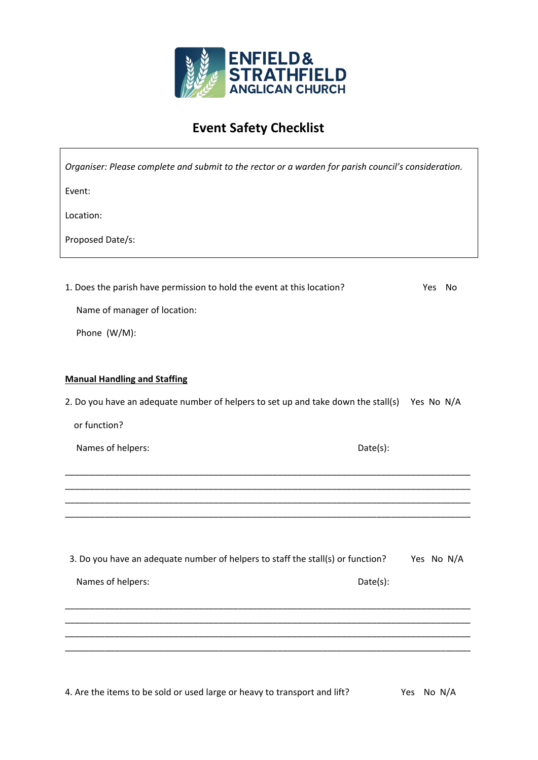

## **Event Safety Checklist**

 $\overline{\phantom{a}}$ 

| Organiser: Please complete and submit to the rector or a warden for parish council's consideration. |            |
|-----------------------------------------------------------------------------------------------------|------------|
| Event:                                                                                              |            |
| Location:                                                                                           |            |
| Proposed Date/s:                                                                                    |            |
|                                                                                                     |            |
| 1. Does the parish have permission to hold the event at this location?                              | Yes<br>No  |
| Name of manager of location:                                                                        |            |
| Phone (W/M):                                                                                        |            |
|                                                                                                     |            |
| <b>Manual Handling and Staffing</b>                                                                 |            |
| 2. Do you have an adequate number of helpers to set up and take down the stall(s) Yes No N/A        |            |
| or function?                                                                                        |            |
| Names of helpers:                                                                                   | Date(s):   |
|                                                                                                     |            |
|                                                                                                     |            |
|                                                                                                     |            |
|                                                                                                     |            |
| 3. Do you have an adequate number of helpers to staff the stall(s) or function?                     | Yes No N/A |
| Names of helpers:                                                                                   | Date(s):   |
|                                                                                                     |            |
|                                                                                                     |            |
|                                                                                                     |            |
|                                                                                                     |            |

4. Are the items to be sold or used large or heavy to transport and lift? Yes No N/A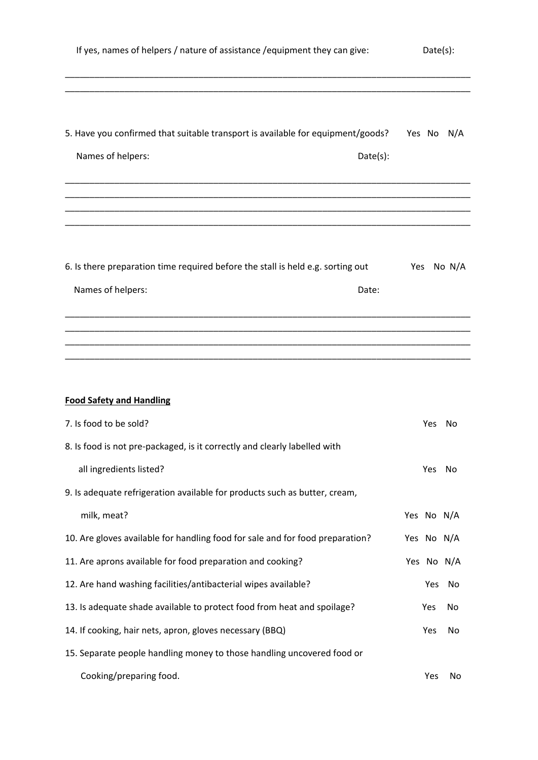| If yes, names of helpers / nature of assistance / equipment they can give:                                       |            | Date(s): |  |
|------------------------------------------------------------------------------------------------------------------|------------|----------|--|
| 5. Have you confirmed that suitable transport is available for equipment/goods?<br>Names of helpers:<br>Date(s): | Yes No N/A |          |  |
| 6. Is there preparation time required before the stall is held e.g. sorting out<br>Names of helpers:<br>Date:    | Yes        | No $N/A$ |  |
|                                                                                                                  |            |          |  |
| <b>Food Safety and Handling</b>                                                                                  |            |          |  |
| 7. Is food to be sold?                                                                                           | Yes        | No       |  |
| 8. Is food is not pre-packaged, is it correctly and clearly labelled with                                        |            |          |  |
| all ingredients listed?                                                                                          | Yes        | No       |  |
| 9. Is adequate refrigeration available for products such as butter, cream,                                       |            |          |  |
| milk, meat?                                                                                                      | Yes No N/A |          |  |
| 10. Are gloves available for handling food for sale and for food preparation?                                    | Yes No N/A |          |  |
| 11. Are aprons available for food preparation and cooking?                                                       | Yes No N/A |          |  |
| 12. Are hand washing facilities/antibacterial wipes available?                                                   | Yes        | No       |  |
| 13. Is adequate shade available to protect food from heat and spoilage?                                          | Yes        | No       |  |
| 14. If cooking, hair nets, apron, gloves necessary (BBQ)                                                         | Yes        | No       |  |
| 15. Separate people handling money to those handling uncovered food or                                           |            |          |  |
| Cooking/preparing food.                                                                                          | Yes        | No       |  |